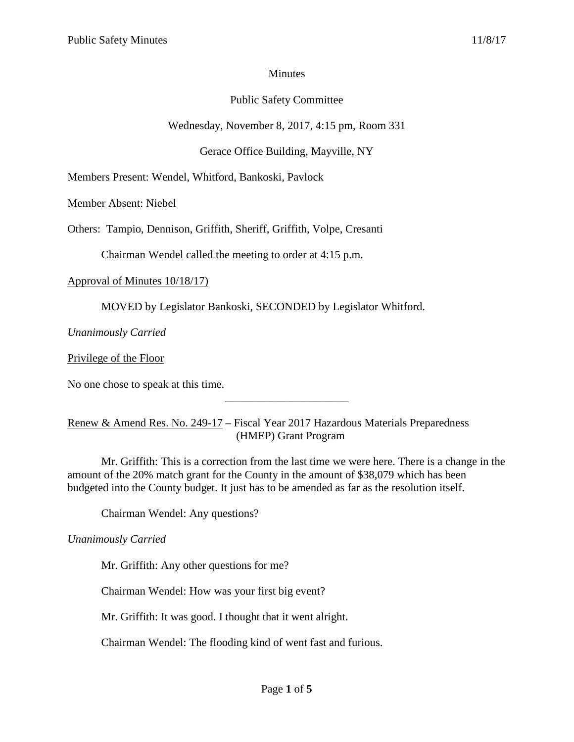#### Minutes

# Public Safety Committee

Wednesday, November 8, 2017, 4:15 pm, Room 331

Gerace Office Building, Mayville, NY

Members Present: Wendel, Whitford, Bankoski, Pavlock

Member Absent: Niebel

Others: Tampio, Dennison, Griffith, Sheriff, Griffith, Volpe, Cresanti

Chairman Wendel called the meeting to order at 4:15 p.m.

Approval of Minutes 10/18/17)

MOVED by Legislator Bankoski, SECONDED by Legislator Whitford.

*Unanimously Carried*

Privilege of the Floor

No one chose to speak at this time.

## Renew & Amend Res. No. 249-17 – Fiscal Year 2017 Hazardous Materials Preparedness (HMEP) Grant Program

Mr. Griffith: This is a correction from the last time we were here. There is a change in the amount of the 20% match grant for the County in the amount of \$38,079 which has been budgeted into the County budget. It just has to be amended as far as the resolution itself.

\_\_\_\_\_\_\_\_\_\_\_\_\_\_\_\_\_\_\_\_\_\_

Chairman Wendel: Any questions?

*Unanimously Carried*

Mr. Griffith: Any other questions for me?

Chairman Wendel: How was your first big event?

Mr. Griffith: It was good. I thought that it went alright.

Chairman Wendel: The flooding kind of went fast and furious.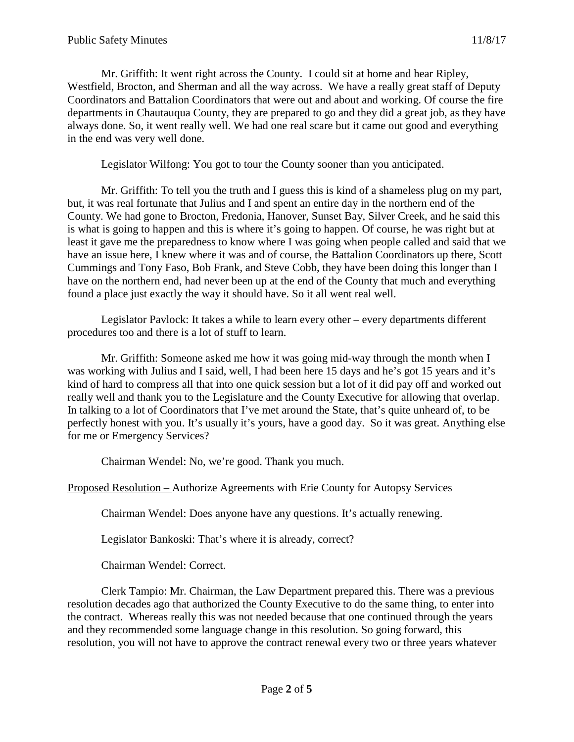Mr. Griffith: It went right across the County. I could sit at home and hear Ripley, Westfield, Brocton, and Sherman and all the way across. We have a really great staff of Deputy Coordinators and Battalion Coordinators that were out and about and working. Of course the fire departments in Chautauqua County, they are prepared to go and they did a great job, as they have always done. So, it went really well. We had one real scare but it came out good and everything in the end was very well done.

Legislator Wilfong: You got to tour the County sooner than you anticipated.

Mr. Griffith: To tell you the truth and I guess this is kind of a shameless plug on my part, but, it was real fortunate that Julius and I and spent an entire day in the northern end of the County. We had gone to Brocton, Fredonia, Hanover, Sunset Bay, Silver Creek, and he said this is what is going to happen and this is where it's going to happen. Of course, he was right but at least it gave me the preparedness to know where I was going when people called and said that we have an issue here, I knew where it was and of course, the Battalion Coordinators up there, Scott Cummings and Tony Faso, Bob Frank, and Steve Cobb, they have been doing this longer than I have on the northern end, had never been up at the end of the County that much and everything found a place just exactly the way it should have. So it all went real well.

Legislator Pavlock: It takes a while to learn every other – every departments different procedures too and there is a lot of stuff to learn.

Mr. Griffith: Someone asked me how it was going mid-way through the month when I was working with Julius and I said, well, I had been here 15 days and he's got 15 years and it's kind of hard to compress all that into one quick session but a lot of it did pay off and worked out really well and thank you to the Legislature and the County Executive for allowing that overlap. In talking to a lot of Coordinators that I've met around the State, that's quite unheard of, to be perfectly honest with you. It's usually it's yours, have a good day. So it was great. Anything else for me or Emergency Services?

Chairman Wendel: No, we're good. Thank you much.

Proposed Resolution – Authorize Agreements with Erie County for Autopsy Services

Chairman Wendel: Does anyone have any questions. It's actually renewing.

Legislator Bankoski: That's where it is already, correct?

Chairman Wendel: Correct.

Clerk Tampio: Mr. Chairman, the Law Department prepared this. There was a previous resolution decades ago that authorized the County Executive to do the same thing, to enter into the contract. Whereas really this was not needed because that one continued through the years and they recommended some language change in this resolution. So going forward, this resolution, you will not have to approve the contract renewal every two or three years whatever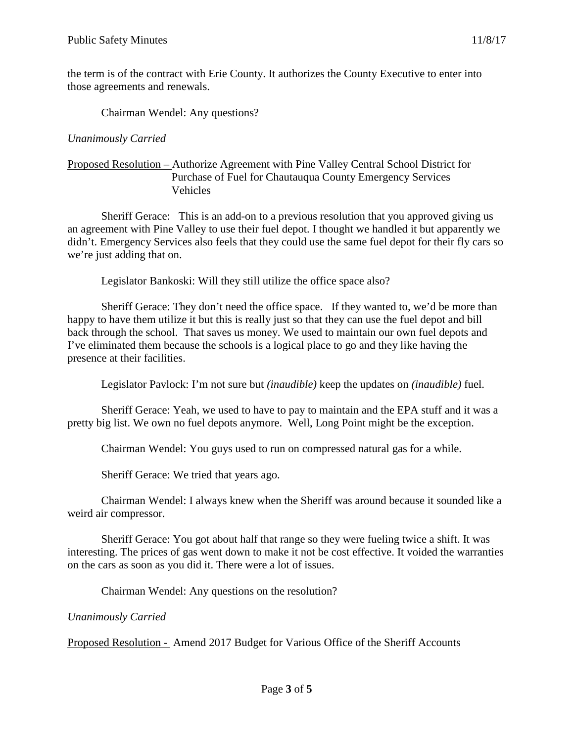the term is of the contract with Erie County. It authorizes the County Executive to enter into those agreements and renewals.

Chairman Wendel: Any questions?

## *Unanimously Carried*

#### Proposed Resolution – Authorize Agreement with Pine Valley Central School District for Purchase of Fuel for Chautauqua County Emergency Services Vehicles

Sheriff Gerace: This is an add-on to a previous resolution that you approved giving us an agreement with Pine Valley to use their fuel depot. I thought we handled it but apparently we didn't. Emergency Services also feels that they could use the same fuel depot for their fly cars so we're just adding that on.

Legislator Bankoski: Will they still utilize the office space also?

Sheriff Gerace: They don't need the office space. If they wanted to, we'd be more than happy to have them utilize it but this is really just so that they can use the fuel depot and bill back through the school. That saves us money. We used to maintain our own fuel depots and I've eliminated them because the schools is a logical place to go and they like having the presence at their facilities.

Legislator Pavlock: I'm not sure but *(inaudible)* keep the updates on *(inaudible)* fuel.

Sheriff Gerace: Yeah, we used to have to pay to maintain and the EPA stuff and it was a pretty big list. We own no fuel depots anymore. Well, Long Point might be the exception.

Chairman Wendel: You guys used to run on compressed natural gas for a while.

Sheriff Gerace: We tried that years ago.

Chairman Wendel: I always knew when the Sheriff was around because it sounded like a weird air compressor.

Sheriff Gerace: You got about half that range so they were fueling twice a shift. It was interesting. The prices of gas went down to make it not be cost effective. It voided the warranties on the cars as soon as you did it. There were a lot of issues.

Chairman Wendel: Any questions on the resolution?

*Unanimously Carried*

Proposed Resolution - Amend 2017 Budget for Various Office of the Sheriff Accounts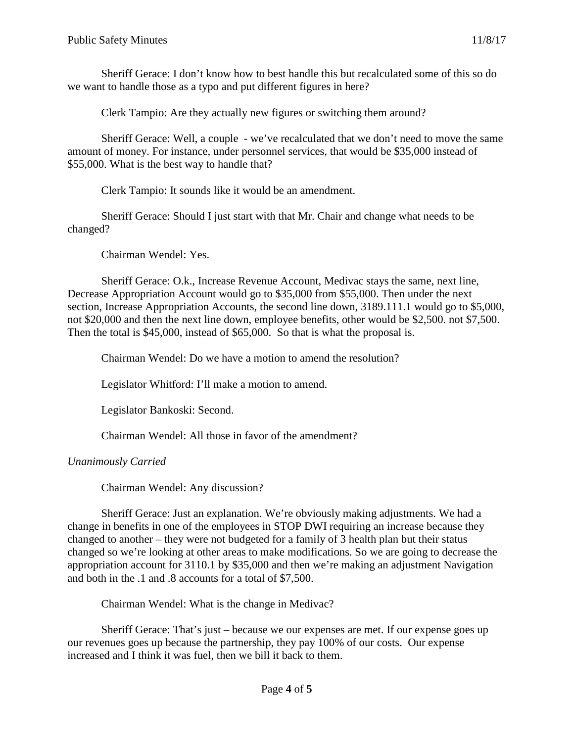Sheriff Gerace: I don't know how to best handle this but recalculated some of this so do we want to handle those as a typo and put different figures in here?

Clerk Tampio: Are they actually new figures or switching them around?

Sheriff Gerace: Well, a couple - we've recalculated that we don't need to move the same amount of money. For instance, under personnel services, that would be \$35,000 instead of \$55,000. What is the best way to handle that?

Clerk Tampio: It sounds like it would be an amendment.

Sheriff Gerace: Should I just start with that Mr. Chair and change what needs to be changed?

Chairman Wendel: Yes.

Sheriff Gerace: O.k., Increase Revenue Account, Medivac stays the same, next line, Decrease Appropriation Account would go to \$35,000 from \$55,000. Then under the next section, Increase Appropriation Accounts, the second line down, 3189.111.1 would go to \$5,000, not \$20,000 and then the next line down, employee benefits, other would be \$2,500. not \$7,500. Then the total is \$45,000, instead of \$65,000. So that is what the proposal is.

Chairman Wendel: Do we have a motion to amend the resolution?

Legislator Whitford: I'll make a motion to amend.

Legislator Bankoski: Second.

Chairman Wendel: All those in favor of the amendment?

*Unanimously Carried*

Chairman Wendel: Any discussion?

Sheriff Gerace: Just an explanation. We're obviously making adjustments. We had a change in benefits in one of the employees in STOP DWI requiring an increase because they changed to another – they were not budgeted for a family of 3 health plan but their status changed so we're looking at other areas to make modifications. So we are going to decrease the appropriation account for 3110.1 by \$35,000 and then we're making an adjustment Navigation and both in the .1 and .8 accounts for a total of \$7,500.

Chairman Wendel: What is the change in Medivac?

Sheriff Gerace: That's just – because we our expenses are met. If our expense goes up our revenues goes up because the partnership, they pay 100% of our costs. Our expense increased and I think it was fuel, then we bill it back to them.